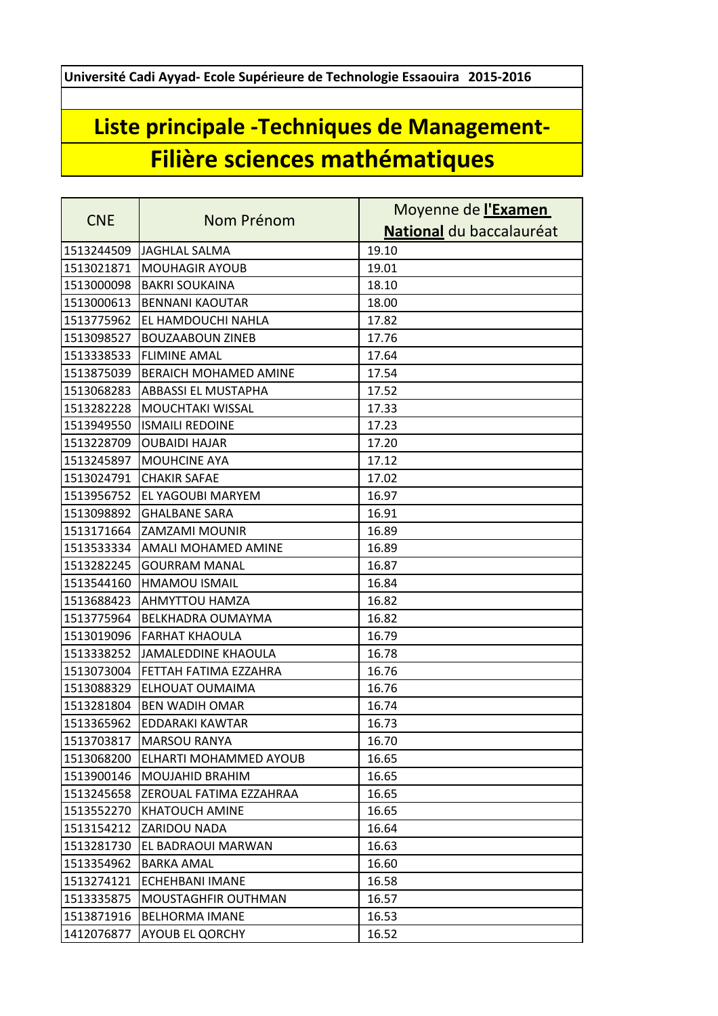**Université Cadi Ayyad- Ecole Supérieure de Technologie Essaouira 2015-2016**

## **Liste principale -Techniques de Management-Filière sciences mathématiques**

| <b>CNE</b> | Nom Prénom                 | Moyenne de l'Examen      |
|------------|----------------------------|--------------------------|
|            |                            | National du baccalauréat |
| 1513244509 | JAGHLAL SALMA              | 19.10                    |
| 1513021871 | <b>MOUHAGIR AYOUB</b>      | 19.01                    |
| 1513000098 | <b>BAKRI SOUKAINA</b>      | 18.10                    |
| 1513000613 | <b>BENNANI KAOUTAR</b>     | 18.00                    |
| 1513775962 | EL HAMDOUCHI NAHLA         | 17.82                    |
| 1513098527 | <b>BOUZAABOUN ZINEB</b>    | 17.76                    |
| 1513338533 | <b>FLIMINE AMAL</b>        | 17.64                    |
| 1513875039 | BERAICH MOHAMED AMINE      | 17.54                    |
| 1513068283 | ABBASSI EL MUSTAPHA        | 17.52                    |
| 1513282228 | MOUCHTAKI WISSAL           | 17.33                    |
| 1513949550 | <b>ISMAILI REDOINE</b>     | 17.23                    |
| 1513228709 | <b>OUBAIDI HAJAR</b>       | 17.20                    |
| 1513245897 | <b>MOUHCINE AYA</b>        | 17.12                    |
| 1513024791 | <b>CHAKIR SAFAE</b>        | 17.02                    |
| 1513956752 | <b>EL YAGOUBI MARYEM</b>   | 16.97                    |
| 1513098892 | <b>GHALBANE SARA</b>       | 16.91                    |
| 1513171664 | <b>ZAMZAMI MOUNIR</b>      | 16.89                    |
| 1513533334 | AMALI MOHAMED AMINE        | 16.89                    |
| 1513282245 | <b>GOURRAM MANAL</b>       | 16.87                    |
| 1513544160 | <b>HMAMOU ISMAIL</b>       | 16.84                    |
| 1513688423 | <b>AHMYTTOU HAMZA</b>      | 16.82                    |
| 1513775964 | <b>BELKHADRA OUMAYMA</b>   | 16.82                    |
| 1513019096 | <b>FARHAT KHAOULA</b>      | 16.79                    |
| 1513338252 | <b>JAMALEDDINE KHAOULA</b> | 16.78                    |
| 1513073004 | FETTAH FATIMA EZZAHRA      | 16.76                    |
| 1513088329 | ELHOUAT OUMAIMA            | 16.76                    |
| 1513281804 | <b>BEN WADIH OMAR</b>      | 16.74                    |
| 1513365962 | <b>EDDARAKI KAWTAR</b>     | 16.73                    |
| 1513703817 | MARSOU RANYA               | 16.70                    |
| 1513068200 | ELHARTI MOHAMMED AYOUB     | 16.65                    |
| 1513900146 | MOUJAHID BRAHIM            | 16.65                    |
| 1513245658 | ZEROUAL FATIMA EZZAHRAA    | 16.65                    |
| 1513552270 | <b>KHATOUCH AMINE</b>      | 16.65                    |
| 1513154212 | <b>ZARIDOU NADA</b>        | 16.64                    |
| 1513281730 | EL BADRAOUI MARWAN         | 16.63                    |
| 1513354962 | <b>BARKA AMAL</b>          | 16.60                    |
| 1513274121 | ECHEHBANI IMANE            | 16.58                    |
| 1513335875 | MOUSTAGHFIR OUTHMAN        | 16.57                    |
| 1513871916 | <b>BELHORMA IMANE</b>      | 16.53                    |
| 1412076877 | AYOUB EL QORCHY            | 16.52                    |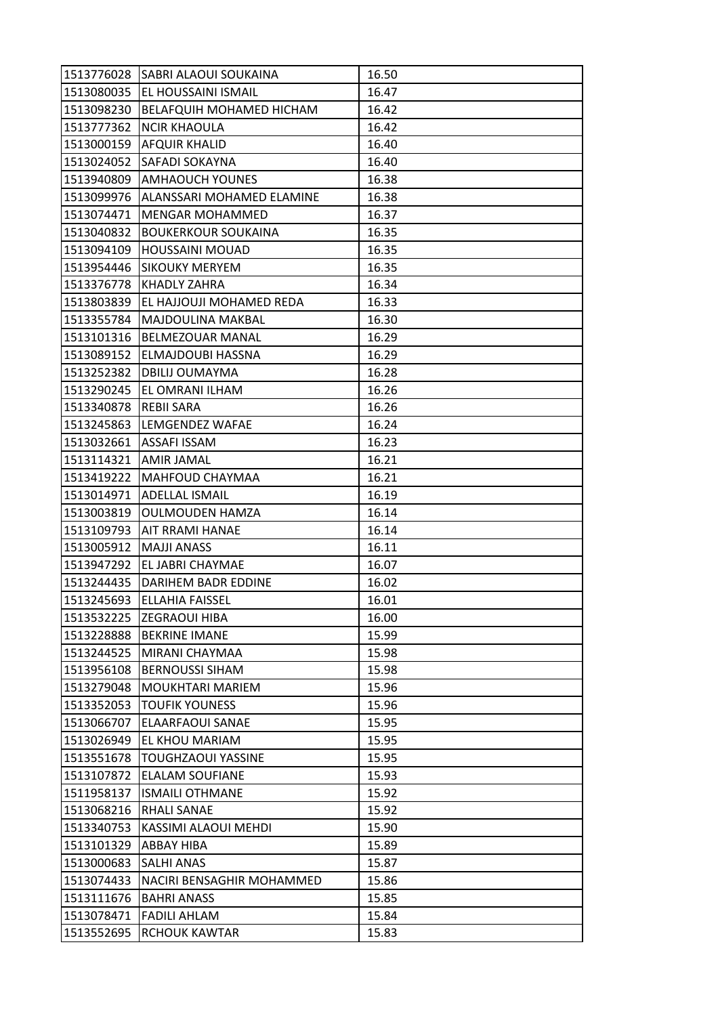| 1513776028 | SABRI ALAOUI SOUKAINA      | 16.50 |
|------------|----------------------------|-------|
| 1513080035 | <b>EL HOUSSAINI ISMAIL</b> | 16.47 |
| 1513098230 | BELAFQUIH MOHAMED HICHAM   | 16.42 |
| 1513777362 | <b>NCIR KHAOULA</b>        | 16.42 |
| 1513000159 | <b>AFQUIR KHALID</b>       | 16.40 |
| 1513024052 | SAFADI SOKAYNA             | 16.40 |
| 1513940809 | <b>AMHAOUCH YOUNES</b>     | 16.38 |
| 1513099976 | ALANSSARI MOHAMED ELAMINE  | 16.38 |
| 1513074471 | MENGAR MOHAMMED            | 16.37 |
| 1513040832 | <b>BOUKERKOUR SOUKAINA</b> | 16.35 |
| 1513094109 | <b>HOUSSAINI MOUAD</b>     | 16.35 |
| 1513954446 | <b>SIKOUKY MERYEM</b>      | 16.35 |
| 1513376778 | KHADLY ZAHRA               | 16.34 |
| 1513803839 | EL HAJJOUJI MOHAMED REDA   | 16.33 |
| 1513355784 | MAJDOULINA MAKBAL          | 16.30 |
| 1513101316 | <b>BELMEZOUAR MANAL</b>    | 16.29 |
| 1513089152 | ELMAJDOUBI HASSNA          | 16.29 |
| 1513252382 | DBILIJ OUMAYMA             | 16.28 |
| 1513290245 | EL OMRANI ILHAM            | 16.26 |
| 1513340878 | <b>REBII SARA</b>          | 16.26 |
| 1513245863 | LEMGENDEZ WAFAE            | 16.24 |
| 1513032661 | ASSAFI ISSAM               | 16.23 |
| 1513114321 | <b>AMIR JAMAL</b>          | 16.21 |
| 1513419222 | MAHFOUD CHAYMAA            | 16.21 |
| 1513014971 | ADELLAL ISMAIL             | 16.19 |
| 1513003819 | <b>OULMOUDEN HAMZA</b>     | 16.14 |
| 1513109793 | AIT RRAMI HANAE            | 16.14 |
| 1513005912 | <b>MAJJI ANASS</b>         | 16.11 |
| 1513947292 | EL JABRI CHAYMAE           | 16.07 |
| 1513244435 | <b>DARIHEM BADR EDDINE</b> | 16.02 |
| 1513245693 | <b>ELLAHIA FAISSEL</b>     | 16.01 |
| 1513532225 | <b>ZEGRAOUI HIBA</b>       | 16.00 |
| 1513228888 | <b>BEKRINE IMANE</b>       | 15.99 |
| 1513244525 | MIRANI CHAYMAA             | 15.98 |
| 1513956108 | <b>BERNOUSSI SIHAM</b>     | 15.98 |
| 1513279048 | <b>MOUKHTARI MARIEM</b>    | 15.96 |
| 1513352053 | <b>TOUFIK YOUNESS</b>      | 15.96 |
| 1513066707 | ELAARFAOUI SANAE           | 15.95 |
| 1513026949 | EL KHOU MARIAM             | 15.95 |
| 1513551678 | <b>TOUGHZAOUI YASSINE</b>  | 15.95 |
| 1513107872 | <b>ELALAM SOUFIANE</b>     | 15.93 |
| 1511958137 | <b>ISMAILI OTHMANE</b>     | 15.92 |
| 1513068216 | RHALI SANAE                | 15.92 |
| 1513340753 | KASSIMI ALAOUI MEHDI       | 15.90 |
| 1513101329 | <b>ABBAY HIBA</b>          | 15.89 |
| 1513000683 | <b>SALHI ANAS</b>          | 15.87 |
| 1513074433 | NACIRI BENSAGHIR MOHAMMED  | 15.86 |
| 1513111676 | <b>BAHRI ANASS</b>         | 15.85 |
| 1513078471 | <b>FADILI AHLAM</b>        | 15.84 |
| 1513552695 | <b>RCHOUK KAWTAR</b>       | 15.83 |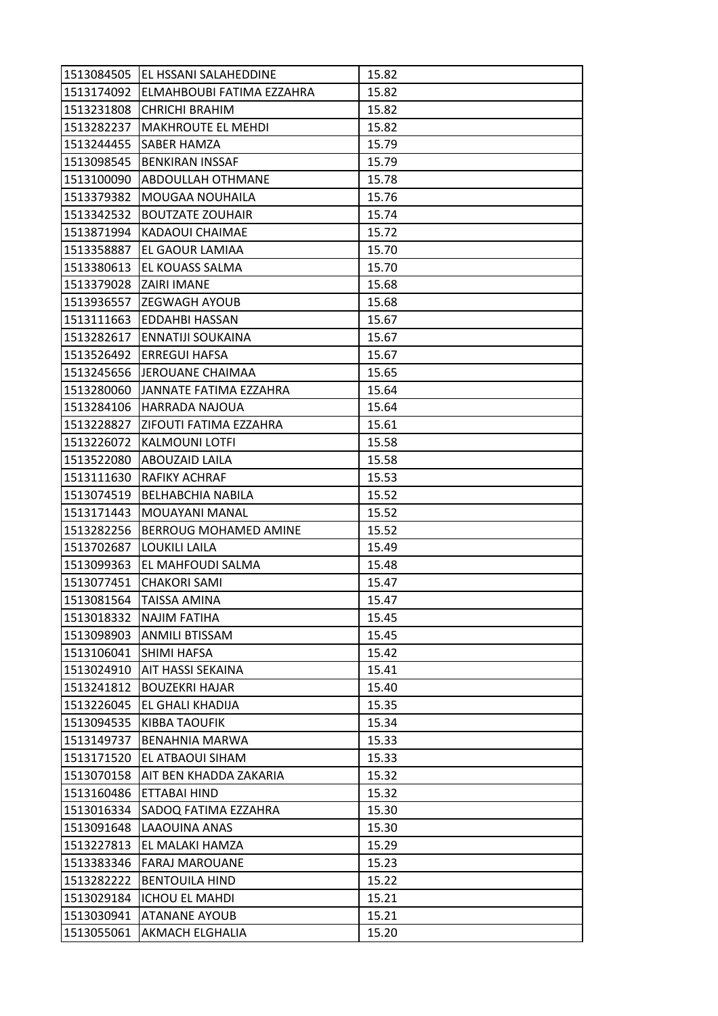|            | 1513084505  EL HSSANI SALAHEDDINE    | 15.82 |
|------------|--------------------------------------|-------|
|            | 1513174092 ELMAHBOUBI FATIMA EZZAHRA | 15.82 |
| 1513231808 | <b>CHRICHI BRAHIM</b>                | 15.82 |
| 1513282237 | <b>MAKHROUTE EL MEHDI</b>            | 15.82 |
| 1513244455 | <b>SABER HAMZA</b>                   | 15.79 |
| 1513098545 | <b>BENKIRAN INSSAF</b>               | 15.79 |
| 1513100090 | <b>ABDOULLAH OTHMANE</b>             | 15.78 |
| 1513379382 | <b>MOUGAA NOUHAILA</b>               | 15.76 |
| 1513342532 | <b>BOUTZATE ZOUHAIR</b>              | 15.74 |
| 1513871994 | KADAOUI CHAIMAE                      | 15.72 |
| 1513358887 | EL GAOUR LAMIAA                      | 15.70 |
| 1513380613 | <b>EL KOUASS SALMA</b>               | 15.70 |
| 1513379028 | <b>IZAIRI IMANE</b>                  | 15.68 |
| 1513936557 | <b>ZEGWAGH AYOUB</b>                 | 15.68 |
| 1513111663 | <b>EDDAHBI HASSAN</b>                | 15.67 |
| 1513282617 | <b>ENNATIJI SOUKAINA</b>             | 15.67 |
|            | 1513526492 ERREGUI HAFSA             | 15.67 |
| 1513245656 | <b>JEROUANE CHAIMAA</b>              | 15.65 |
| 1513280060 | JANNATE FATIMA EZZAHRA               | 15.64 |
| 1513284106 | <b>HARRADA NAJOUA</b>                | 15.64 |
| 1513228827 | <b>ZIFOUTI FATIMA EZZAHRA</b>        | 15.61 |
| 1513226072 | <b>KALMOUNI LOTFI</b>                | 15.58 |
| 1513522080 | <b>ABOUZAID LAILA</b>                | 15.58 |
| 1513111630 | <b>RAFIKY ACHRAF</b>                 | 15.53 |
| 1513074519 | <b>BELHABCHIA NABILA</b>             | 15.52 |
| 1513171443 | MOUAYANI MANAL                       | 15.52 |
| 1513282256 | BERROUG MOHAMED AMINE                | 15.52 |
| 1513702687 | LOUKILI LAILA                        | 15.49 |
| 1513099363 | EL MAHFOUDI SALMA                    | 15.48 |
| 1513077451 | <b>CHAKORI SAMI</b>                  | 15.47 |
| 1513081564 | ITAISSA AMINA                        | 15.47 |
| 1513018332 | <b>NAJIM FATIHA</b>                  | 15.45 |
| 1513098903 | <b>ANMILI BTISSAM</b>                | 15.45 |
| 1513106041 | SHIMI HAFSA                          | 15.42 |
| 1513024910 | AIT HASSI SEKAINA                    | 15.41 |
| 1513241812 | <b>BOUZEKRI HAJAR</b>                | 15.40 |
| 1513226045 | EL GHALI KHADIJA                     | 15.35 |
| 1513094535 | <b>KIBBA TAOUFIK</b>                 | 15.34 |
| 1513149737 | <b>BENAHNIA MARWA</b>                | 15.33 |
| 1513171520 | EL ATBAOUI SIHAM                     | 15.33 |
| 1513070158 | AIT BEN KHADDA ZAKARIA               | 15.32 |
| 1513160486 | ETTABAI HIND                         | 15.32 |
| 1513016334 | SADOQ FATIMA EZZAHRA                 | 15.30 |
| 1513091648 | LAAOUINA ANAS                        | 15.30 |
| 1513227813 | EL MALAKI HAMZA                      | 15.29 |
| 1513383346 | <b>FARAJ MAROUANE</b>                | 15.23 |
| 1513282222 | <b>BENTOUILA HIND</b>                | 15.22 |
| 1513029184 | <b>ICHOU EL MAHDI</b>                | 15.21 |
| 1513030941 | <b>ATANANE AYOUB</b>                 | 15.21 |
| 1513055061 | <b>AKMACH ELGHALIA</b>               | 15.20 |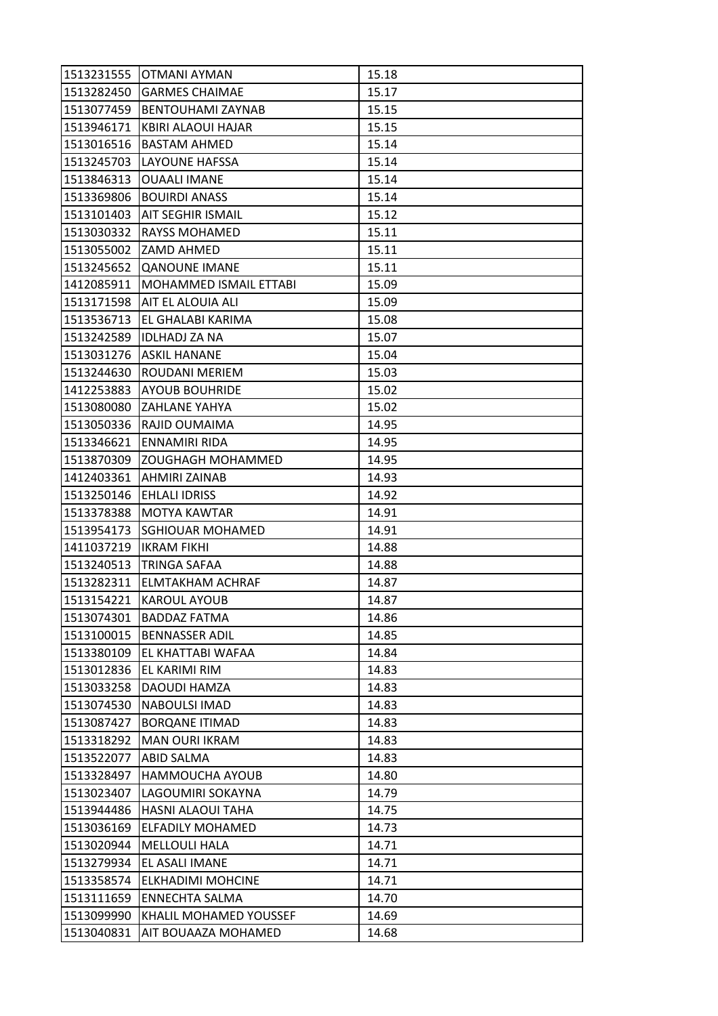| 1513231555 | OTMANI AYMAN                  | 15.18 |
|------------|-------------------------------|-------|
| 1513282450 | <b>GARMES CHAIMAE</b>         | 15.17 |
| 1513077459 | BENTOUHAMI ZAYNAB             | 15.15 |
| 1513946171 | KBIRI ALAOUI HAJAR            | 15.15 |
| 1513016516 | <b>BASTAM AHMED</b>           | 15.14 |
| 1513245703 | LAYOUNE HAFSSA                | 15.14 |
| 1513846313 | <b>OUAALI IMANE</b>           | 15.14 |
| 1513369806 | <b>BOUIRDI ANASS</b>          | 15.14 |
| 1513101403 | <b>AIT SEGHIR ISMAIL</b>      | 15.12 |
| 1513030332 | <b>RAYSS MOHAMED</b>          | 15.11 |
|            | 1513055002 ZAMD AHMED         | 15.11 |
| 1513245652 | <b>QANOUNE IMANE</b>          | 15.11 |
| 1412085911 | <b>MOHAMMED ISMAIL ETTABI</b> | 15.09 |
| 1513171598 | <b>AIT EL ALOUIA ALI</b>      | 15.09 |
| 1513536713 | EL GHALABI KARIMA             | 15.08 |
| 1513242589 | <b>IDLHADJ ZA NA</b>          | 15.07 |
| 1513031276 | ASKIL HANANE                  | 15.04 |
| 1513244630 | ROUDANI MERIEM                | 15.03 |
| 1412253883 | <b>AYOUB BOUHRIDE</b>         | 15.02 |
| 1513080080 | <b>ZAHLANE YAHYA</b>          | 15.02 |
| 1513050336 | RAJID OUMAIMA                 | 14.95 |
| 1513346621 | <b>ENNAMIRI RIDA</b>          | 14.95 |
| 1513870309 | <b>ZOUGHAGH MOHAMMED</b>      | 14.95 |
| 1412403361 | AHMIRI ZAINAB                 | 14.93 |
| 1513250146 | EHLALI IDRISS                 | 14.92 |
| 1513378388 | <b>MOTYA KAWTAR</b>           | 14.91 |
| 1513954173 | <b>SGHIOUAR MOHAMED</b>       | 14.91 |
| 1411037219 | <b>IKRAM FIKHI</b>            | 14.88 |
| 1513240513 | <b>TRINGA SAFAA</b>           | 14.88 |
| 1513282311 | ELMTAKHAM ACHRAF              | 14.87 |
| 1513154221 | <b>KAROUL AYOUB</b>           | 14.87 |
| 1513074301 | <b>BADDAZ FATMA</b>           | 14.86 |
| 1513100015 | <b>BENNASSER ADIL</b>         | 14.85 |
| 1513380109 | EL KHATTABI WAFAA             | 14.84 |
| 1513012836 | EL KARIMI RIM                 | 14.83 |
| 1513033258 | DAOUDI HAMZA                  | 14.83 |
| 1513074530 | NABOULSI IMAD                 | 14.83 |
| 1513087427 | <b>BORQANE ITIMAD</b>         | 14.83 |
| 1513318292 | <b>MAN OURI IKRAM</b>         | 14.83 |
| 1513522077 | <b>ABID SALMA</b>             | 14.83 |
| 1513328497 | <b>HAMMOUCHA AYOUB</b>        | 14.80 |
| 1513023407 | LAGOUMIRI SOKAYNA             | 14.79 |
| 1513944486 | HASNI ALAOUI TAHA             | 14.75 |
| 1513036169 | ELFADILY MOHAMED              | 14.73 |
| 1513020944 | <b>MELLOULI HALA</b>          | 14.71 |
| 1513279934 | EL ASALI IMANE                | 14.71 |
| 1513358574 | <b>ELKHADIMI MOHCINE</b>      | 14.71 |
| 1513111659 | ENNECHTA SALMA                | 14.70 |
| 1513099990 | KHALIL MOHAMED YOUSSEF        | 14.69 |
| 1513040831 | AIT BOUAAZA MOHAMED           | 14.68 |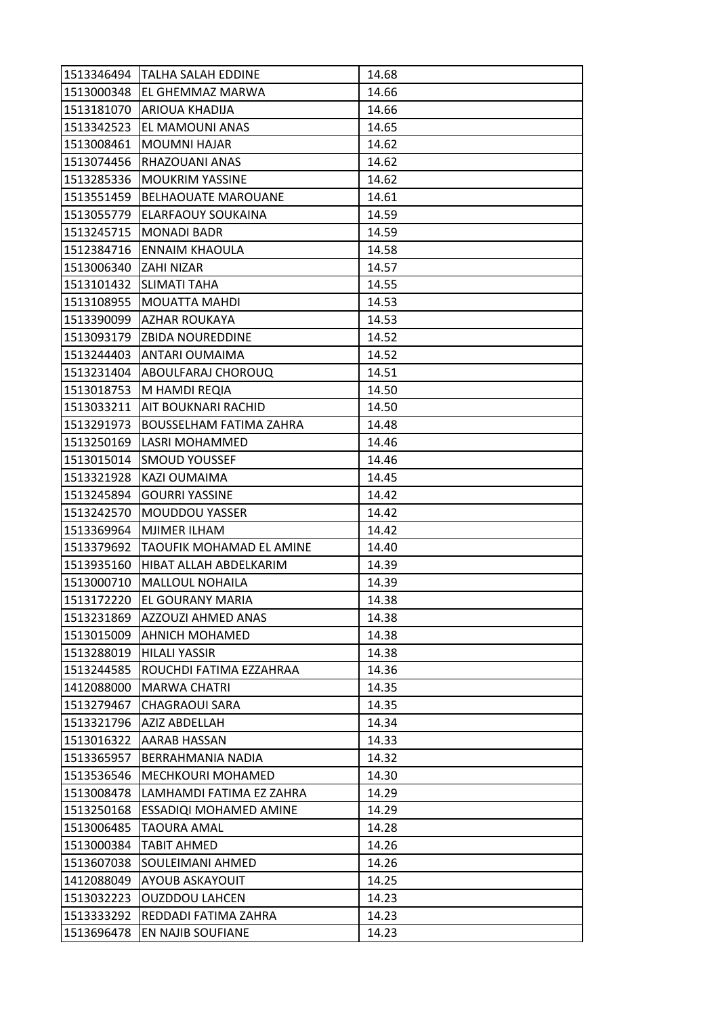| 1513346494 | <b>TALHA SALAH EDDINE</b>       | 14.68 |
|------------|---------------------------------|-------|
| 1513000348 | <b>EL GHEMMAZ MARWA</b>         | 14.66 |
| 1513181070 | ARIOUA KHADIJA                  | 14.66 |
| 1513342523 | EL MAMOUNI ANAS                 | 14.65 |
| 1513008461 | <b>MOUMNI HAJAR</b>             | 14.62 |
| 1513074456 | RHAZOUANI ANAS                  | 14.62 |
| 1513285336 | <b>MOUKRIM YASSINE</b>          | 14.62 |
| 1513551459 | <b>BELHAOUATE MAROUANE</b>      | 14.61 |
| 1513055779 | <b>ELARFAOUY SOUKAINA</b>       | 14.59 |
| 1513245715 | <b>MONADI BADR</b>              | 14.59 |
| 1512384716 | <b>ENNAIM KHAOULA</b>           | 14.58 |
| 1513006340 | <b>ZAHI NIZAR</b>               | 14.57 |
| 1513101432 | SLIMATI TAHA                    | 14.55 |
| 1513108955 | MOUATTA MAHDI                   | 14.53 |
| 1513390099 | <b>AZHAR ROUKAYA</b>            | 14.53 |
|            | 1513093179 ZBIDA NOUREDDINE     | 14.52 |
| 1513244403 | ANTARI OUMAIMA                  | 14.52 |
| 1513231404 | ABOULFARAJ CHOROUQ              | 14.51 |
| 1513018753 | M HAMDI REQIA                   | 14.50 |
| 1513033211 | AIT BOUKNARI RACHID             | 14.50 |
| 1513291973 | BOUSSELHAM FATIMA ZAHRA         | 14.48 |
| 1513250169 | LASRI MOHAMMED                  | 14.46 |
| 1513015014 | <b>SMOUD YOUSSEF</b>            | 14.46 |
| 1513321928 | KAZI OUMAIMA                    | 14.45 |
| 1513245894 | <b>GOURRI YASSINE</b>           | 14.42 |
| 1513242570 | MOUDDOU YASSER                  | 14.42 |
| 1513369964 | MJIMER ILHAM                    | 14.42 |
| 1513379692 | <b>TAOUFIK MOHAMAD EL AMINE</b> | 14.40 |
| 1513935160 | HIBAT ALLAH ABDELKARIM          | 14.39 |
| 1513000710 | MALLOUL NOHAILA                 | 14.39 |
| 1513172220 | <b>EL GOURANY MARIA</b>         | 14.38 |
| 1513231869 | <b>AZZOUZI AHMED ANAS</b>       | 14.38 |
| 1513015009 | <b>AHNICH MOHAMED</b>           | 14.38 |
| 1513288019 | <b>HILALI YASSIR</b>            | 14.38 |
| 1513244585 | ROUCHDI FATIMA EZZAHRAA         | 14.36 |
| 1412088000 | <b>MARWA CHATRI</b>             | 14.35 |
| 1513279467 | <b>CHAGRAOUI SARA</b>           | 14.35 |
| 1513321796 | <b>AZIZ ABDELLAH</b>            | 14.34 |
| 1513016322 | AARAB HASSAN                    | 14.33 |
| 1513365957 | BERRAHMANIA NADIA               | 14.32 |
| 1513536546 | <b>MECHKOURI MOHAMED</b>        | 14.30 |
| 1513008478 | LAMHAMDI FATIMA EZ ZAHRA        | 14.29 |
| 1513250168 | ESSADIQI MOHAMED AMINE          | 14.29 |
| 1513006485 | TAOURA AMAL                     | 14.28 |
| 1513000384 | <b>TABIT AHMED</b>              | 14.26 |
| 1513607038 | SOULEIMANI AHMED                | 14.26 |
| 1412088049 | <b>AYOUB ASKAYOUIT</b>          | 14.25 |
| 1513032223 | <b>OUZDDOU LAHCEN</b>           | 14.23 |
| 1513333292 | REDDADI FATIMA ZAHRA            | 14.23 |
| 1513696478 | EN NAJIB SOUFIANE               | 14.23 |